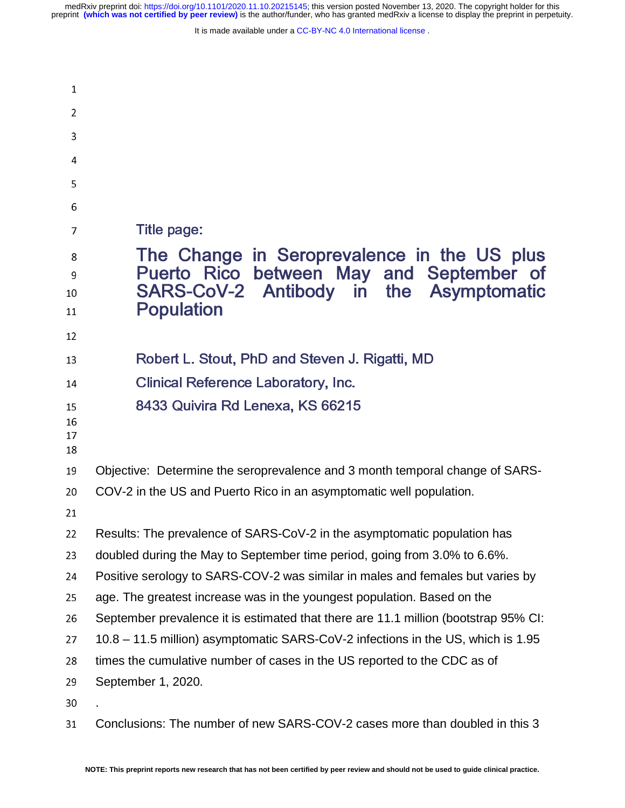| $\mathbf{1}$         |                                                                                                                                    |  |  |  |  |
|----------------------|------------------------------------------------------------------------------------------------------------------------------------|--|--|--|--|
| 2                    |                                                                                                                                    |  |  |  |  |
| 3                    |                                                                                                                                    |  |  |  |  |
| 4                    |                                                                                                                                    |  |  |  |  |
| 5                    |                                                                                                                                    |  |  |  |  |
| 6                    |                                                                                                                                    |  |  |  |  |
| 7                    | Title page:                                                                                                                        |  |  |  |  |
| 8<br>9<br>10         | The Change in Seroprevalence in the US plus<br>Puerto Rico between May and September of<br>SARS-CoV-2 Antibody in the Asymptomatic |  |  |  |  |
| 11                   | <b>Population</b>                                                                                                                  |  |  |  |  |
| 12                   |                                                                                                                                    |  |  |  |  |
| 13                   | Robert L. Stout, PhD and Steven J. Rigatti, MD                                                                                     |  |  |  |  |
| 14                   | <b>Clinical Reference Laboratory, Inc.</b>                                                                                         |  |  |  |  |
| 15<br>16<br>17<br>18 | 8433 Quivira Rd Lenexa, KS 66215                                                                                                   |  |  |  |  |
| 19                   | Objective: Determine the seroprevalence and 3 month temporal change of SARS-                                                       |  |  |  |  |
| 20                   | COV-2 in the US and Puerto Rico in an asymptomatic well population.                                                                |  |  |  |  |
| 21                   |                                                                                                                                    |  |  |  |  |
| 22                   | Results: The prevalence of SARS-CoV-2 in the asymptomatic population has                                                           |  |  |  |  |
| 23                   | doubled during the May to September time period, going from 3.0% to 6.6%.                                                          |  |  |  |  |
| 24                   | Positive serology to SARS-COV-2 was similar in males and females but varies by                                                     |  |  |  |  |
| 25                   | age. The greatest increase was in the youngest population. Based on the                                                            |  |  |  |  |
| 26                   | September prevalence it is estimated that there are 11.1 million (bootstrap 95% CI:                                                |  |  |  |  |
| 27                   | 10.8 – 11.5 million) asymptomatic SARS-CoV-2 infections in the US, which is 1.95                                                   |  |  |  |  |
| 28                   | times the cumulative number of cases in the US reported to the CDC as of                                                           |  |  |  |  |
| 29                   | September 1, 2020.                                                                                                                 |  |  |  |  |
| 30                   |                                                                                                                                    |  |  |  |  |
| 31                   | Conclusions: The number of new SARS-COV-2 cases more than doubled in this 3                                                        |  |  |  |  |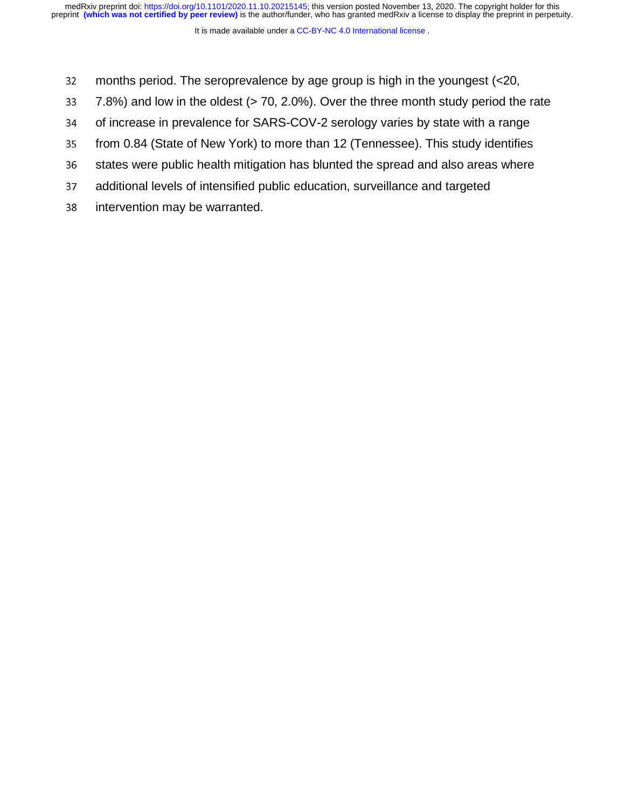- 32 months period. The seroprevalence by age group is high in the youngest (<20,<br>33 7.8%) and low in the oldest (> 70, 2.0%). Over the three month study period the
- 7.8%) and low in the oldest  $(> 70, 2.0%)$ . Over the three month study period the rate
- 
- 34 of increase in prevalence for SARS-COV-2 serology varies by state with a range<br>35 from 0.84 (State of New York) to more than 12 (Tennessee). This study identifies from 0.84 (State of New York) to more than 12 (Tennessee). This study identifies
- 36 states were public health mitigation has blunted the spread and also areas where<br>37 additional levels of intensified public education, surveillance and targeted
- additional levels of intensified public education, surveillance and targeted
- 38 intervention may be warranted.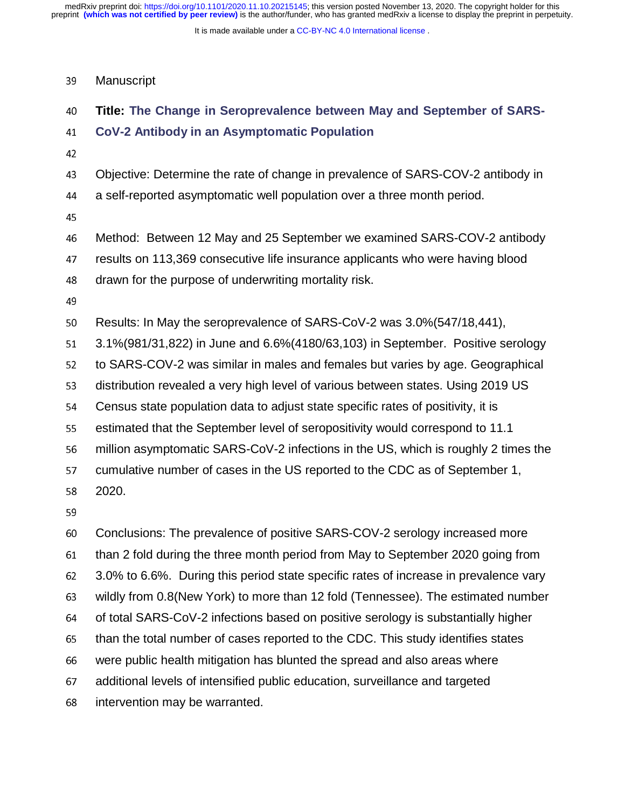It is made available under a [CC-BY-NC 4.0 International license](http://creativecommons.org/licenses/by-nc/4.0/) .

#### 39 Manuscript

# 40 **Title: The Change in Seroprevalence between May and September of SARS-**

## <sup>41</sup>**CoV-2 Antibody in an Asymptomatic Population**

- 
- <sup>43</sup>Objective: Determine the rate of change in prevalence of SARS-COV-2 antibody in
- <sup>44</sup>a self-reported asymptomatic well population over a three month period.
- 45
- <sup>46</sup>Method: Between 12 May and 25 September we examined SARS-COV-2 antibody <sup>47</sup>results on 113,369 consecutive life insurance applicants who were having blood 48 drawn for the purpose of underwriting mortality risk.
- 
- 50 Results: In May the seroprevalence of SARS-CoV-2 was 3.0%(547/18,441),<br>51 3.1%(981/31.822) in June and 6.6%(4180/63.103) in September. Positive s
- <sup>51</sup>3.1%(981/31,822) in June and 6.6%(4180/63,103) in September. Positive serology

52 to SARS-COV-2 was similar in males and females but varies by age. Geographical

53 distribution revealed a very high level of various between states. Using 2019 US

- <sup>54</sup>Census state population data to adjust state specific rates of positivity, it is
- 55 estimated that the September level of seropositivity would correspond to 11.1<br>56 million asymptomatic SARS-CoV-2 infections in the US. which is roughly 2 tim
- million asymptomatic SARS-CoV-2 infections in the US, which is roughly 2 times the

57 cumulative number of cases in the US reported to the CDC as of September 1,

58 2020.

<sup>60</sup>Conclusions: The prevalence of positive SARS-COV-2 serology increased more <sup>61</sup>than 2 fold during the three month period from May to September 2020 going from <sup>62</sup>3.0% to 6.6%. During this period state specific rates of increase in prevalence vary 63 wildly from 0.8(New York) to more than 12 fold (Tennessee). The estimated number 64 of total SARS-CoV-2 infections based on positive serology is substantially higher<br>65 than the total number of cases reported to the CDC. This study identifies states than the total number of cases reported to the CDC. This study identifies states 66 were public health mitigation has blunted the spread and also areas where <sup>67</sup>additional levels of intensified public education, surveillance and targeted 68 intervention may be warranted.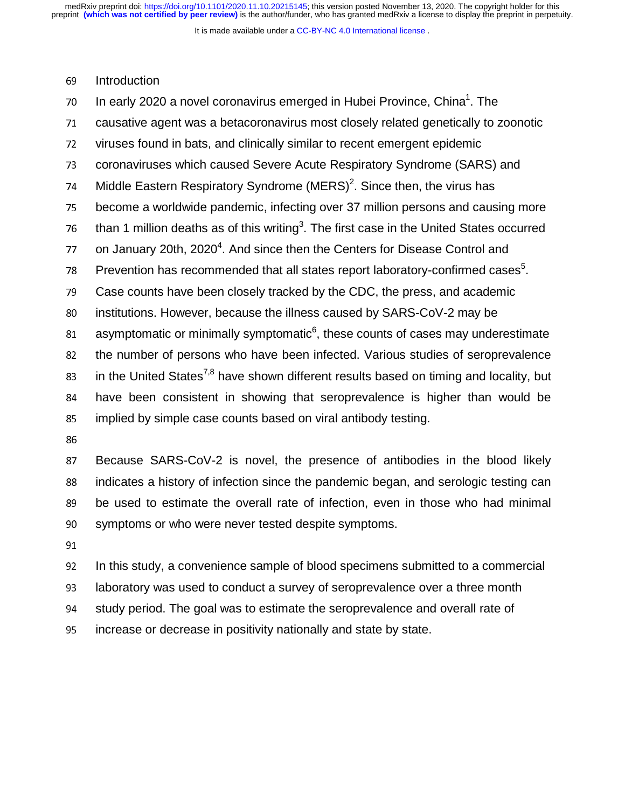It is made available under a [CC-BY-NC 4.0 International license](http://creativecommons.org/licenses/by-nc/4.0/) .

69 Introduction

 $10$  In early 2020 a novel coronavirus emerged in Hubei Province, China<sup>1</sup>. The 71 causative agent was a betacoronavirus most closely related genetically to zoonotic 72 viruses found in bats, and clinically similar to recent emergent epidemic 73 coronaviruses which caused Severe Acute Respiratory Syndrome (SARS) and 74 Middle Eastern Respiratory Syndrome (MERS)<sup>2</sup>. Since then, the virus has 75 become a worldwide pandemic, infecting over 37 million persons and causing more  $76$  than 1 million deaths as of this writing<sup>3</sup>. The first case in the United States occurred  $77$  on January 20th, 2020<sup>4</sup>. And since then the Centers for Disease Control and 78 Prevention has recommended that all states report laboratory-confirmed cases $5$ . 79 Case counts have been closely tracked by the CDC, the press, and academic 80 institutions. However, because the illness caused by SARS-CoV-2 may be asymptomatic or minimally symptomatic $<sup>6</sup>$ , these counts of cases may underestimate<br>82 the number of persons who have been infected. Various studies of seroprevalence</sup> the number of persons who have been infected. Various studies of seroprevalence 83 in the United States<sup>7,8</sup> have shown different results based on timing and locality, but <sup>84</sup>have been consistent in showing that seroprevalence is higher than would be 85 implied by simple case counts based on viral antibody testing. 86<br>87 Because SARS-CoV-2 is novel, the presence of antibodies in the blood likely

88 indicates a history of infection since the pandemic began, and serologic testing can 89 be used to estimate the overall rate of infection, even in those who had minimal 90 symptoms or who were never tested despite symptoms.

91

92 In this study, a convenience sample of blood specimens submitted to a commercial <sup>93</sup>laboratory was used to conduct a survey of seroprevalence over a three month 94 study period. The goal was to estimate the seroprevalence and overall rate of 95 increase or decrease in positivity nationally and state by state.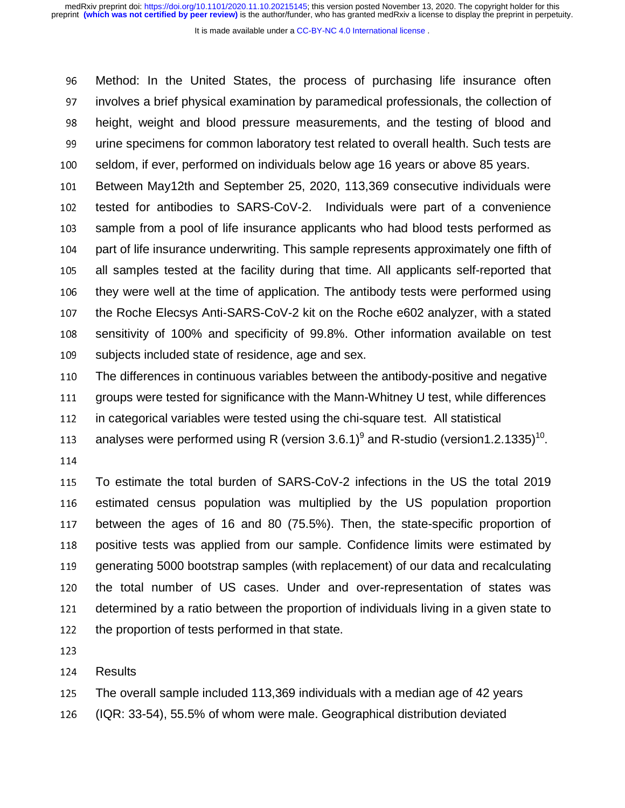It is made available under a [CC-BY-NC 4.0 International license](http://creativecommons.org/licenses/by-nc/4.0/) .

<sup>96</sup>Method: In the United States, the process of purchasing life insurance often <sup>97</sup>involves a brief physical examination by paramedical professionals, the collection of <sup>98</sup>height, weight and blood pressure measurements, and the testing of blood and 99 urine specimens for common laboratory test related to overall health. Such tests are 100 seldom, if ever, performed on individuals below age 16 years or above 85 years.

101 Between May12th and September 25, 2020, 113,369 consecutive individuals were 102 tested for antibodies to SARS-CoV-2. Individuals were part of a convenience 103 sample from a pool of life insurance applicants who had blood tests performed as 104 part of life insurance underwriting. This sample represents approximately one fifth of 105 all samples tested at the facility during that time. All applicants self-reported that 106 they were well at the time of application. The antibody tests were performed using 107 the Roche Elecsys Anti-SARS-CoV-2 kit on the Roche e602 analyzer, with a stated 108 sensitivity of 100% and specificity of 99.8%. Other information available on test 109 subjects included state of residence, age and sex.

<sup>110</sup>The differences in continuous variables between the antibody-positive and negative <sup>111</sup>groups were tested for significance with the Mann-Whitney U test, while differences

112 in categorical variables were tested using the chi-square test. All statistical

113 analyses were performed using R (version 3.6.1)<sup>9</sup> and R-studio (version1.2.1335)<sup>10</sup>.

115 To estimate the total burden of SARS-CoV-2 infections in the US the total 2019 116 estimated census population was multiplied by the US population proportion 117 between the ages of 16 and 80 (75.5%). Then, the state-specific proportion of 118 positive tests was applied from our sample. Confidence limits were estimated by 119 generating 5000 bootstrap samples (with replacement) of our data and recalculating 120 the total number of US cases. Under and over-representation of states was 121 determined by a ratio between the proportion of individuals living in a given state to 122 the proportion of tests performed in that state.

123

124 Results

<sup>125</sup>The overall sample included 113,369 individuals with a median age of 42 years

<sup>126</sup>(IQR: 33-54), 55.5% of whom were male. Geographical distribution deviated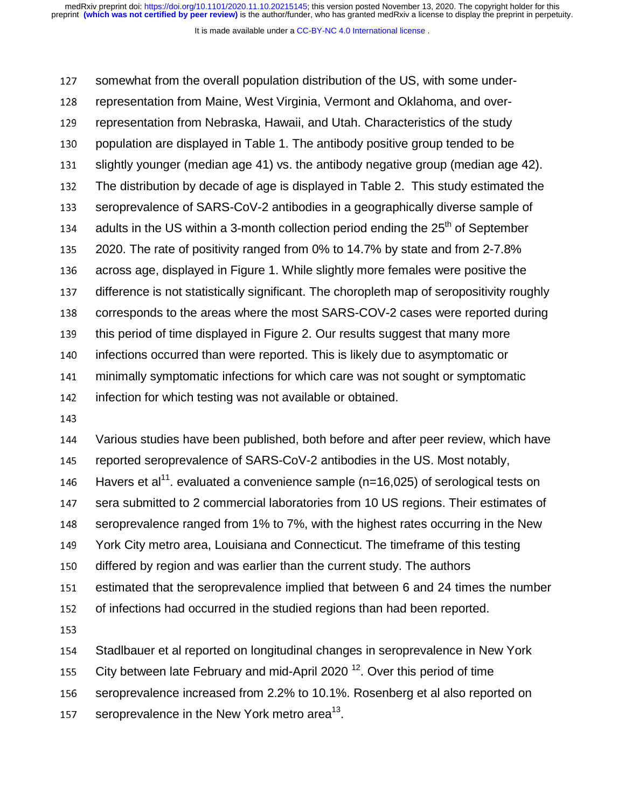It is made available under a [CC-BY-NC 4.0 International license](http://creativecommons.org/licenses/by-nc/4.0/) .

127 somewhat from the overall population distribution of the US, with some under-128 representation from Maine, West Virginia, Vermont and Oklahoma, and over-129 representation from Nebraska, Hawaii, and Utah. Characteristics of the study 130 population are displayed in Table 1. The antibody positive group tended to be 131 slightly younger (median age 41) vs. the antibody negative group (median age 42).<br>132 The distribution by decade of age is displayed in Table 2. This study estimated the The distribution by decade of age is displayed in Table 2. This study estimated the 133 seroprevalence of SARS-CoV-2 antibodies in a geographically diverse sample of 134 adults in the US within a 3-month collection period ending the  $25<sup>th</sup>$  of September <sup>135</sup>2020. The rate of positivity ranged from 0% to 14.7% by state and from 2-7.8% 136 across age, displayed in Figure 1. While slightly more females were positive the 137 difference is not statistically significant. The choropleth map of seropositivity roughly 138 corresponds to the areas where the most SARS-COV-2 cases were reported during 139 this period of time displayed in Figure 2. Our results suggest that many more 140 infections occurred than were reported. This is likely due to asymptomatic or <sup>141</sup>minimally symptomatic infections for which care was not sought or symptomatic 142 infection for which testing was not available or obtained.

144 Various studies have been published, both before and after peer review, which have 145 reported seroprevalence of SARS-CoV-2 antibodies in the US. Most notably, 146 Havers et al<sup>11</sup> evaluated a convenience sample (n=16,025) of serological tests on

147 sera submitted to 2 commercial laboratories from 10 US regions. Their estimates of

148 seroprevalence ranged from 1% to 7%, with the highest rates occurring in the New

149 York City metro area, Louisiana and Connecticut. The timeframe of this testing

150 differed by region and was earlier than the current study. The authors

<sup>151</sup>estimated that the seroprevalence implied that between 6 and 24 times the number

152 of infections had occurred in the studied regions than had been reported.

154 Stadlbauer et al reported on longitudinal changes in seroprevalence in New York

155 City between late February and mid-April 2020<sup>12</sup>. Over this period of time

156 seroprevalence increased from 2.2% to 10.1%. Rosenberg et al also reported on

157 seroprevalence in the New York metro area<sup>13</sup>.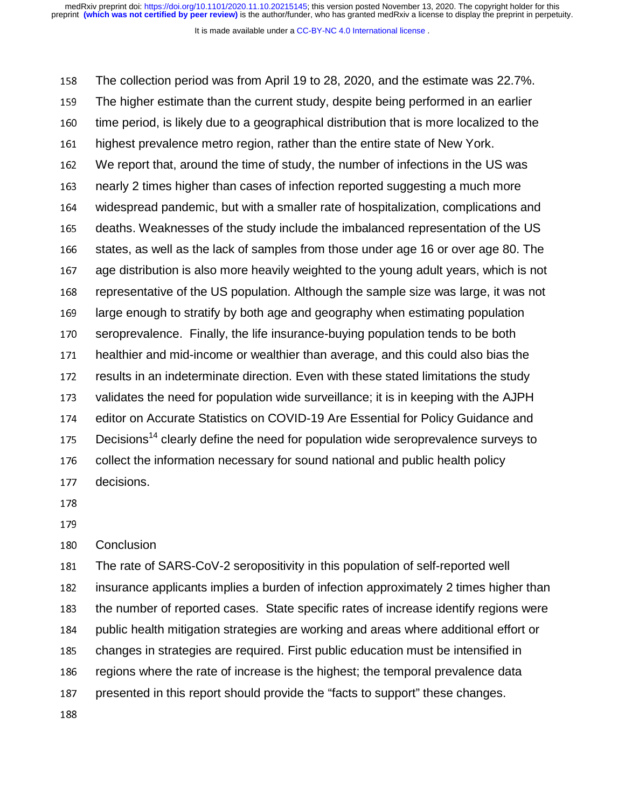It is made available under a [CC-BY-NC 4.0 International license](http://creativecommons.org/licenses/by-nc/4.0/) .

158 The collection period was from April 19 to 28, 2020, and the estimate was 22.7%. 159 The higher estimate than the current study, despite being performed in an earlier 160 time period, is likely due to a geographical distribution that is more localized to the 161 highest prevalence metro region, rather than the entire state of New York. <sup>162</sup>We report that, around the time of study, the number of infections in the US was <sup>163</sup>nearly 2 times higher than cases of infection reported suggesting a much more <sup>164</sup>widespread pandemic, but with a smaller rate of hospitalization, complications and 165 deaths. Weaknesses of the study include the imbalanced representation of the US 166 states, as well as the lack of samples from those under age 16 or over age 80. The 167 age distribution is also more heavily weighted to the young adult years, which is not 168 representative of the US population. Although the sample size was large, it was not 169 large enough to stratify by both age and geography when estimating population 170 seroprevalence. Finally, the life insurance-buying population tends to be both 171 healthier and mid-income or wealthier than average, and this could also bias the 172 results in an indeterminate direction. Even with these stated limitations the study 173 validates the need for population wide surveillance; it is in keeping with the AJPH 174 editor on Accurate Statistics on COVID-19 Are Essential for Policy Guidance and  $175$  Decisions<sup>14</sup> clearly define the need for population wide seroprevalence surveys to 176 collect the information necessary for sound national and public health policy 177 decisions.

- 178
- 

180 Conclusion

181 The rate of SARS-CoV-2 seropositivity in this population of self-reported well 182 insurance applicants implies a burden of infection approximately 2 times higher than 183 the number of reported cases. State specific rates of increase identify regions were 184 public health mitigation strategies are working and areas where additional effort or 185 changes in strategies are required. First public education must be intensified in 186 regions where the rate of increase is the highest; the temporal prevalence data 187 presented in this report should provide the "facts to support" these changes.

188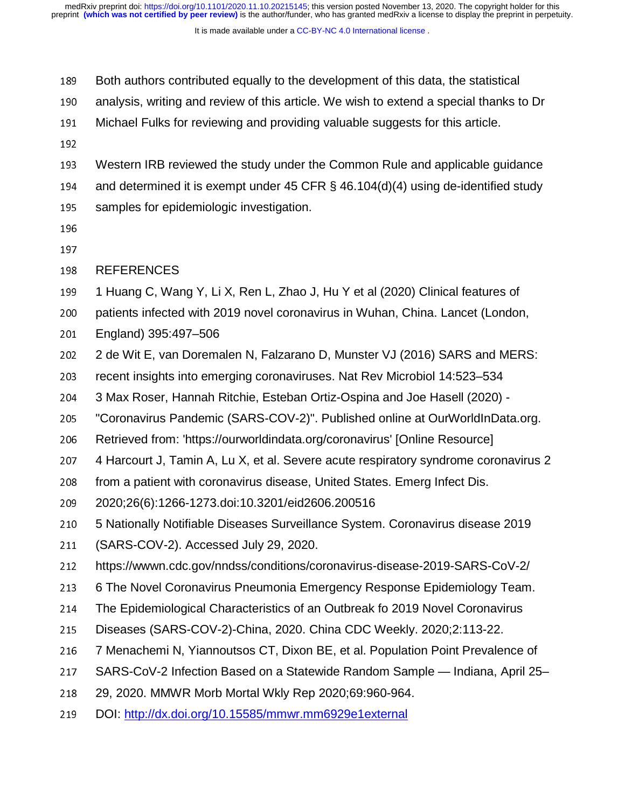- <sup>189</sup>Both authors contributed equally to the development of this data, the statistical
- 190 analysis, writing and review of this article. We wish to extend a special thanks to Dr
- 191 Michael Fulks for reviewing and providing valuable suggests for this article.
- 
- <sup>193</sup>Western IRB reviewed the study under the Common Rule and applicable guidance
- 194 and determined it is exempt under 45 CFR  $\S$  46.104(d)(4) using de-identified study
- 195 samples for epidemiologic investigation.
- 196
- 197
- 198 REFERENCES
- 199 1 Huang C, Wang Y, Li X, Ren L, Zhao J, Hu Y et al (2020) Clinical features of
- 200 patients infected with 2019 novel coronavirus in Wuhan, China. Lancet (London,
- 201 England) 395:497–506<br>202 2 de Wit E. van Dorema
- 2 de Wit E, van Doremalen N, Falzarano D, Munster VJ (2016) SARS and MERS:
- 203 recent insights into emerging coronaviruses. Nat Rev Microbiol 14:523–534
- <sup>204</sup>3 Max Roser, Hannah Ritchie, Esteban Ortiz-Ospina and Joe Hasell (2020) -
- <sup>205</sup>"Coronavirus Pandemic (SARS-COV-2)". Published online at OurWorldInData.org.
- 206 Retrieved from: 'https://ourworldindata.org/coronavirus' [Online Resource]<br>207 A Harcourt J. Tamin A. Lu X. et al. Severe acute respiratory syndrome core
- 4 Harcourt J, Tamin A, Lu X, et al. Severe acute respiratory syndrome coronavirus 2
- 208 from a patient with coronavirus disease, United States. Emerg Infect Dis.
- <sup>209</sup>2020;26(6):1266-1273.doi:10.3201/eid2606.200516
- <sup>210</sup>5 Nationally Notifiable Diseases Surveillance System. Coronavirus disease 2019
- 211 (SARS-COV-2). Accessed July 29, 2020.<br>212 https://wwwn.cdc.gov/nndss/conditions/co
- <sup>212</sup>https://wwwn.cdc.gov/nndss/conditions/coronavirus-disease-2019-SARS-CoV-2/
- <sup>213</sup>6 The Novel Coronavirus Pneumonia Emergency Response Epidemiology Team.
- <sup>214</sup>The Epidemiological Characteristics of an Outbreak fo 2019 Novel Coronavirus
- 215 Diseases (SARS-COV-2)-China, 2020. China CDC Weekly. 2020;2:113-22.
- 216 7 Menachemi N, Yiannoutsos CT, Dixon BE, et al. Population Point Prevalence of
- 217 SARS-CoV-2 Infection Based on a Statewide Random Sample Indiana, April 25–
- <sup>218</sup>29, 2020. MMWR Morb Mortal Wkly Rep 2020;69:960-964.
- 219 DOI: http://dx.doi.org/10.15585/mmwr.mm6929e1external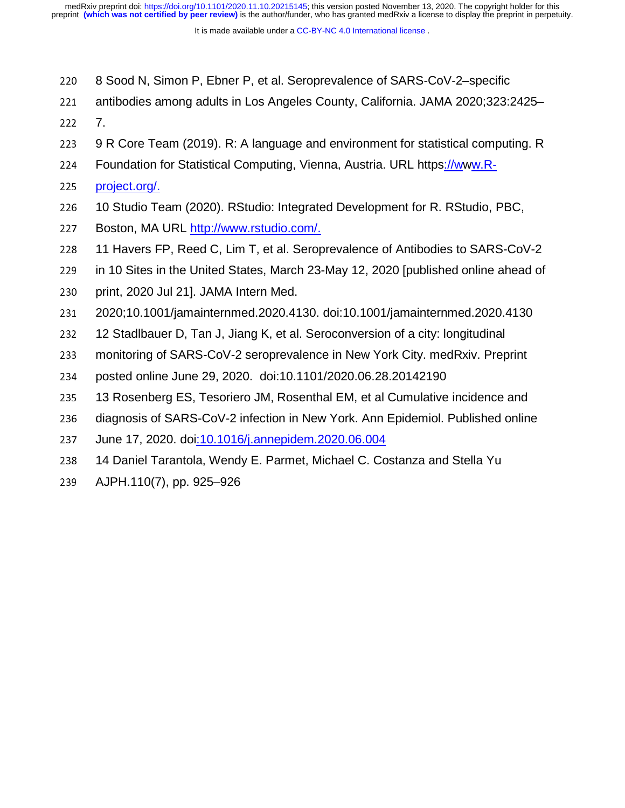- 220 8 Sood N, Simon P, Ebner P, et al. Seroprevalence of SARS-CoV-2–specific
- 221 antibodies among adults in Los Angeles County, California. JAMA 2020;323:2425–
- 
- 222 7.<br>223 9 l 9 R Core Team (2019). R: A language and environment for statistical computing. R
- 224 Foundation for Statistical Computing, Vienna, Austria. URL https://www.R-
- 225 project.org/.
- <sup>226</sup>10 Studio Team (2020). RStudio: Integrated Development for R. RStudio, PBC,
- 227 Boston, MA URL http://www.rstudio.com/.
- 228 11 Havers FP, Reed C, Lim T, et al. Seroprevalence of Antibodies to SARS-CoV-2
- 229 in 10 Sites in the United States, March 23-May 12, 2020 [published online ahead of
- 230 print, 2020 Jul 21]. JAMA Intern Med.
- <sup>231</sup>2020;10.1001/jamainternmed.2020.4130. doi:10.1001/jamainternmed.2020.4130
- 232 12 Stadlbauer D, Tan J, Jiang K, et al. Seroconversion of a city: longitudinal<br>233 monitoring of SARS-CoV-2 seroprevalence in New York City, medRxiv, Prec
- <sup>233</sup>monitoring of SARS-CoV-2 seroprevalence in New York City. medRxiv. Preprint
- 234 posted online June 29, 2020. doi:10.1101/2020.06.28.20142190
- 235 13 Rosenberg ES, Tesoriero JM, Rosenthal EM, et al Cumulative incidence and
- 236 diagnosis of SARS-CoV-2 infection in New York. Ann Epidemiol. Published online
- 237 June 17, 2020. doi:10.1016/j.annepidem.2020.06.004
- 238 14 Daniel Tarantola, Wendy E. Parmet, Michael C. Costanza and Stella Yu
- 239 AJPH.110(7), pp. 925–926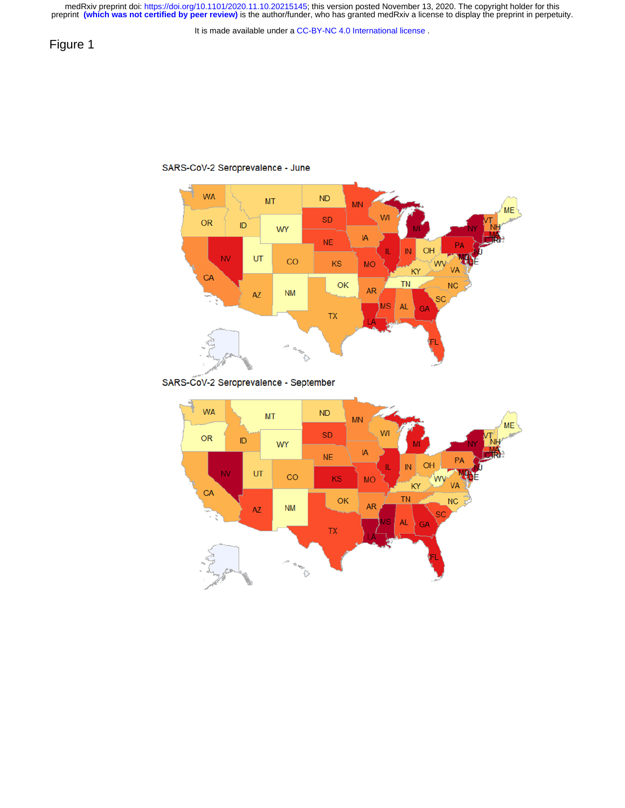

### SARS-CoV-2 Seroprevalence - September



SARS-CoV-2 Seroprevalence - June

# Figure 1

It is made available under a [CC-BY-NC 4.0 International license](http://creativecommons.org/licenses/by-nc/4.0/) .

medRxiv preprint doi: [https://doi.org/10.1101/2020.11.10.20215145;](https://doi.org/10.1101/2020.11.10.20215145) this version posted November 13, 2020. The copyright holder for this<br>preprint (which was not certified by peer review) is the author/funder, who has grante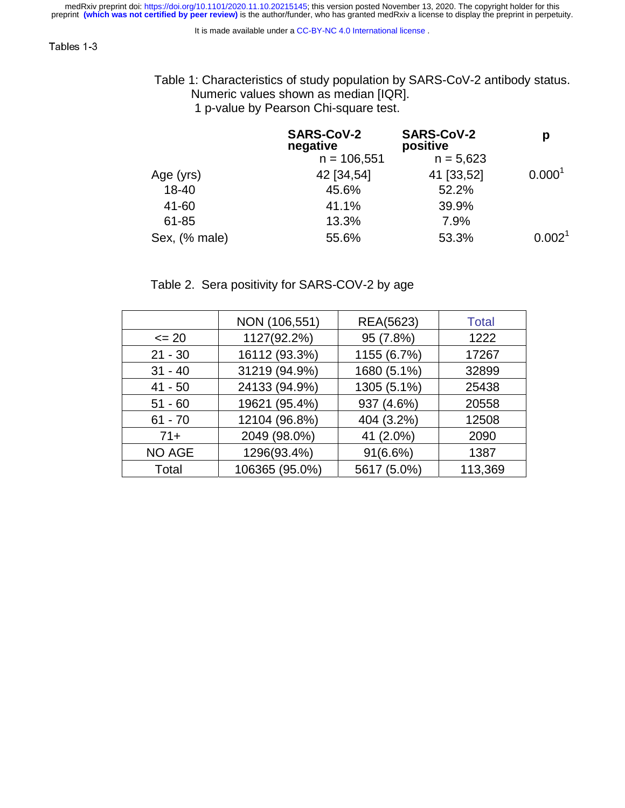It is made available under a [CC-BY-NC 4.0 International license](http://creativecommons.org/licenses/by-nc/4.0/) .

 Table 1: Characteristics of study population by SARS-CoV-2 antibody status. Numeric values shown as median [IQR].

1 p-value by Pearson Chi-square test.

|               | <b>SARS-CoV-2</b><br>negative<br>$n = 106,551$ | <b>SARS-CoV-2</b><br>positive<br>$n = 5,623$ | р                  |  |
|---------------|------------------------------------------------|----------------------------------------------|--------------------|--|
| Age (yrs)     | 42 [34,54]                                     | 41 [33,52]                                   | 0.000 <sup>1</sup> |  |
| $18 - 40$     | 45.6%                                          | 52.2%                                        |                    |  |
| 41-60         | 41.1%                                          | 39.9%                                        |                    |  |
| 61-85         | 13.3%                                          | 7.9%                                         |                    |  |
| Sex, (% male) | 55.6%                                          | 53.3%                                        | 0.002 <sup>1</sup> |  |

# Table 2. Sera positivity for SARS-COV-2 by age

|               | NON (106,551)  | REA(5623)   | <b>Total</b> |
|---------------|----------------|-------------|--------------|
| $\leq$ 20     | 1127(92.2%)    | 95 (7.8%)   | 1222         |
| $21 - 30$     | 16112 (93.3%)  | 1155 (6.7%) | 17267        |
| $31 - 40$     | 31219 (94.9%)  | 1680 (5.1%) | 32899        |
| $41 - 50$     | 24133 (94.9%)  | 1305 (5.1%) | 25438        |
| $51 - 60$     | 19621 (95.4%)  | 937 (4.6%)  | 20558        |
| $61 - 70$     | 12104 (96.8%)  | 404 (3.2%)  | 12508        |
| $71+$         | 2049 (98.0%)   | 41 (2.0%)   | 2090         |
| <b>NO AGE</b> | 1296(93.4%)    | 91(6.6%)    | 1387         |
| Total         | 106365 (95.0%) | 5617 (5.0%) | 113,369      |